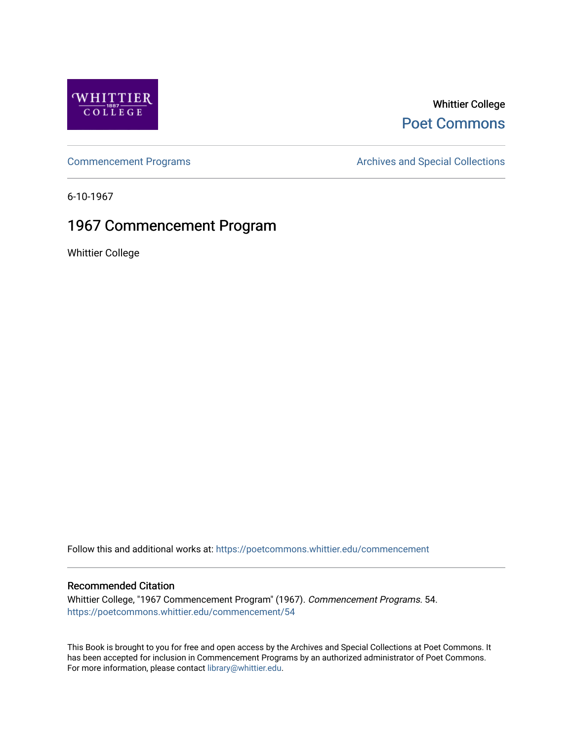

# Whittier College [Poet Commons](https://poetcommons.whittier.edu/)

[Commencement Programs](https://poetcommons.whittier.edu/commencement) **Archives and Special Collections** Archives and Special Collections

6-10-1967

# 1967 Commencement Program

Whittier College

Follow this and additional works at: [https://poetcommons.whittier.edu/commencement](https://poetcommons.whittier.edu/commencement?utm_source=poetcommons.whittier.edu%2Fcommencement%2F54&utm_medium=PDF&utm_campaign=PDFCoverPages) 

# Recommended Citation

Whittier College, "1967 Commencement Program" (1967). Commencement Programs. 54. [https://poetcommons.whittier.edu/commencement/54](https://poetcommons.whittier.edu/commencement/54?utm_source=poetcommons.whittier.edu%2Fcommencement%2F54&utm_medium=PDF&utm_campaign=PDFCoverPages)

This Book is brought to you for free and open access by the Archives and Special Collections at Poet Commons. It has been accepted for inclusion in Commencement Programs by an authorized administrator of Poet Commons. For more information, please contact [library@whittier.edu.](mailto:library@whittier.edu)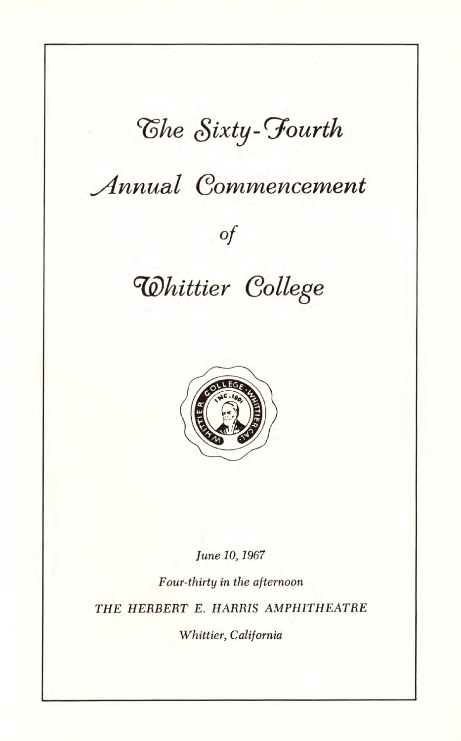# The Sixty-Fourth

# Annual Commencement

# $\circ f$

# Whittier College



June 10, 1967

Four-thirty in the afternoon THE HERBERT E. HARRIS AMPHITHEATRE Whittier, California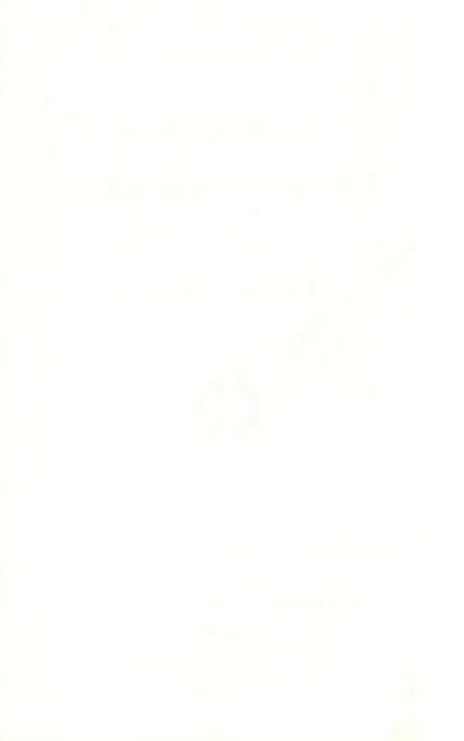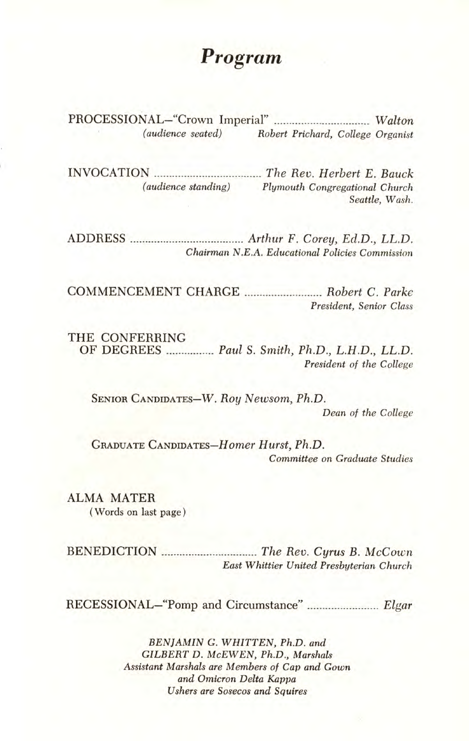# **Program**

PROCESSIONAL-"Crown Imperial" ................................. Walton (audience seated) Robert Prichard, College Organist

INVOCATION (audience standing) The Rev. Herbert E. Bauck<br>(audience standing) Plymouth Congregational Church Plymouth Congregational Church Seattle, Wash.

ADDRESS Arthur F. Corey, Ed.D., LL.D. Chairman N E.A. Educational Policies Commission

COMMENCEMENT CHARGE ............................. Robert C. Parke President, Senior Class

THE CONFERRING OF DEGREES .............. Paul S. Smith, Ph.D., L.H.D., LL.D. President of the College

SENIOR CANDIDATES—W. Roy Newsom, Ph.D. Dean of the College

GRADUATE CANDIDATES-Homer Hurst, Ph.D. Committee on Graduate Studies

ALMA MATER (Words on last page)

BENEDICTION The Rev. Cyrus B. McCown East Whittier United Presbyterian Church

RECESSIONAL—"Pomp and Circumstance" Elgar

BENJAMIN C. WHITTEN, Ph.D. and GILBERT D. McEWEN, Ph.D., Marshals Assistant Marshals are Members of Cap and Gown and Omicron Delta Kappa Ushers are Sosecos and Squires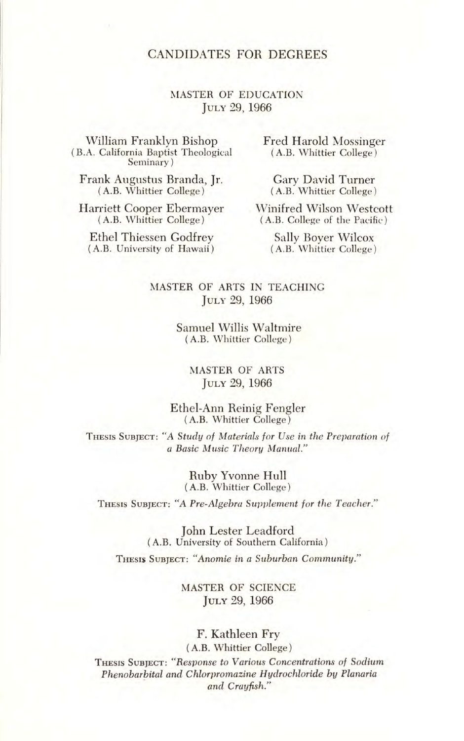#### MASTER OF EDUCATION JULY 29, 1966

William Franklyn Bishop (B.A. California Baptist Theological Seminary)

Frank Augustus Branda, Jr. (A.B. Whittier College)

Harriett Cooper Ebermayer (A.B. Whittier College)

Ethel Thiessen Godfrey (A.B. University of Hawaii) Fred Harold Mossinger (A.B. Whittier College)

Gary David Turner (A.B. Whittier College)

Winifred Wilson Westcott (A.B. College of the Pacific)

> Sally Boyer Wilcox (A.B. Whittier College)

## MASTER OF ARTS IN TEACHING JULY 29, 1966

Samuel Willis Waltmire (A.B. Whittier College)

> MASTER OF ARTS JULY 29, 1966

Ethel-Ann Reinig Fengler (A.B. Whittier College)

THESIS SUBJECT: "A Study of Materials for Use in the Preparation of a Basic MUSIC Theory Manual."

> Ruby Yvonne Hull (A.B. Whittier College)

THESIS SUBJECT: "A Pre-Algebra Supplement for the Teacher."

John Lester Leadford (A.B. University of Southern California)

THESIS SUBJECT: "Anomie in a Suburban Community."

MASTER OF SCIENCE JULY 29, 1966

F. Kathleen Fry (A.B. Whittier College)

THESIS SUBJECT: "Response to Various Concentrations of Sodium Phenobarbital and Chlorpromazine Hydrochloride by Planaria and Crayfish."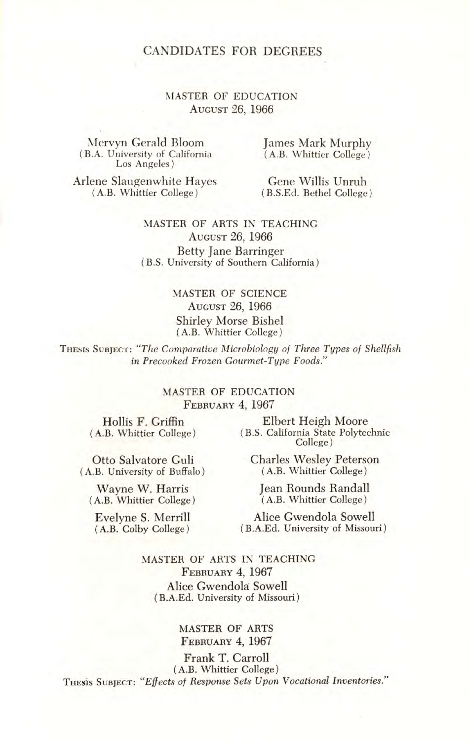#### MASTER OF EDUCATION AUGUST 26, 1966

#### Mervyn Gerald Bloom (BA. University of California Los Angeles)

James Mark Murphy (A.B. Whittier College)

Arlene Slaugenwhite Hayes (A.B. Whittier College)

Gene Willis Unruh (B.S.Ed. Bethel College)

MASTER OF ARTS IN TEACHING AUGUST 26, 1966 Betty Jane Barringer (B.S. University of Southern California)

#### MASTER OF SCIENCE AUGUST 26, 1966 Shirley Morse Bishel (A.B. Whittier College)

THESIS SUBJECT: "The Comparative Microbiology of Three Types of Shellfish in Precooked Frozen Gourmet-Type Foods."

#### MASTER OF EDUCATION FEBRUARY 4, 1967

Hollis F. Griffin Elbert Heigh Moore<br>(A.B. Whittier College) (B.S. California State Polytec (B.S. California State Polytechnic College)

Otto Salvatore Guli (A.B. University of Buffalo)

Wayne W. Harris (A.B. Whittier College)

Evelyne S. Merrill (A.B. Colby College)

Charles Wesley Peterson (A.B. Whittier College)

Jean Rounds Randall (A.B. Whittier College)

Alice Gwendola Sowell (B.A.Ed. University of Missouri)

MASTER OF ARTS IN TEACHING FEBRUARY 4, 1967 Alice Gwendola Sowell (B.A.Ed. University of Missouri)

> MASTER OF ARTS FEBRUARY 4, 1967

Frank T. Carroll (A.B. Whittier College) THESIS SUBJECT: "Effects of Response Sets Upon Vocational Inventories."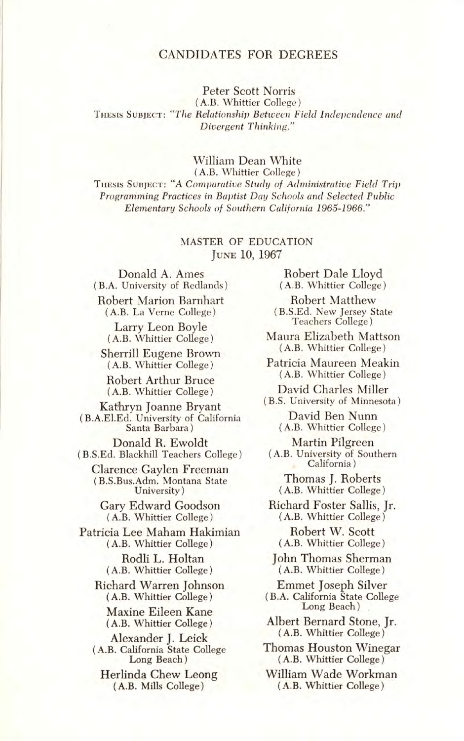#### Peter Scott Norris

#### (A.B. Whittier College) THESIS SUBJECT: "The Relationship Between Field Independence and Divergent Thinking."

#### William Dean White (A.B. Whittier College)

THESIS SUBJECT: "A Comparative Study of Administrative Field Trip Programming Practices in Baptist Day Schools and Selected Public Elementary Schools of Southern California 1965-1966."

#### MASTER OF EDUCATION JUNE 10, 1967

Donald A. Ames (B.A. University of Redlands) Robert Marion Barnhart

(A.B. La Verne College) Larry Leon Boyle

(A.B. Whittier College)

Sherrill Eugene Brown (A.B. Whittier College)

Robert Arthur Bruce (A.B. Whittier College)

Kathryn Joanne Bryant (B.A.El.Ed. University of California Santa Barbara)

Donald R. Ewoldt (B,S.Ed. Blackhill Teachers College)

Clarence Gaylen Freeman (B.S.Bus.Adm. Montana State University)

Gary Edward Goodson (A.B. Whittier College)

Patricia Lee Maham Hakimian (A.B. Whittier College)

> Rodli L. Holtan (A.B. Whittier College)

Richard Warren Johnson (A.B. Whittier College)

Maxine Eileen Kane (A.B. Whittier College)

Alexander J. Leick (A.B. California State College Long Beach)

Herlinda Chew Leong (A.B. Mills College)

Robert Dale Lloyd (A.B. Whittier College)

Robert Matthew (B.S.Ed. New Jersey State Teachers College)

Maura Elizabeth Mattson (A.B. Whittier College)

Patricia Maureen Meakin (A.B. Whittier College)

David Charles Miller (B.S. University of Minnesota)

> David Ben Nunn (A.B. Whittier College)

Martin Pilgreen (A.B. University of Southern California)

Thomas J. Roberts (A.B. Whittier College)

Richard Foster Sallis, Jr. (A.B. Whittier College)

Robert W. Scott (A.B. Whittier College)

John Thomas Sherman (A.B. Whittier College)

Emmet Joseph Silver (B.A. California State College Long Beach)

Albert Bernard Stone, Jr. (A.B. Whittier College)

Thomas Houston Winegar (A.B. Whittier College)

William Wade Workman (A.B. Whittier College)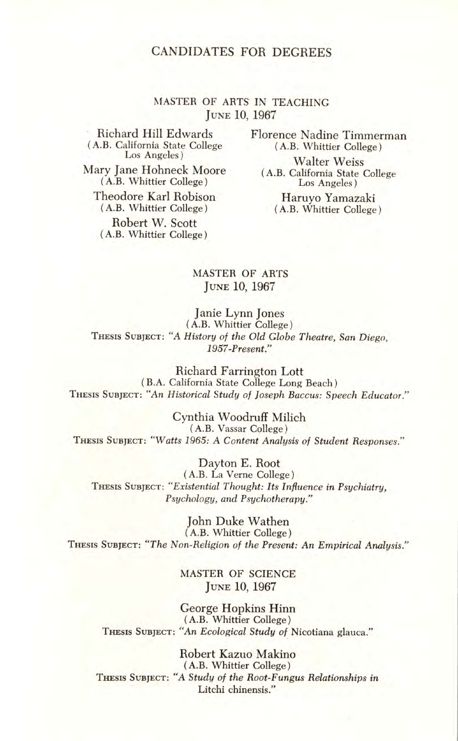### MASTER OF ARTS IN TEACHING JUNE 10, 1967

• Richard Hill Edwards (A.B. California State College Los Angeles)

Florence Nadine Timmerman (A.B. Whittier College) Walter Weiss

Mary Jane Hohneck Moore (A.B. Whittier College)

Theodore Karl Robison (A.B. Whittier College)

Robert W. Scott (A.B. Whittier College) (A.B. California State College Los Angeles) Haruyo Yamazaki

(A.B. Whittier College)

#### MASTER OF ARTS JUNE 10, 1967

Janie Lynn Jones (A.B. Whittier College) THESIS SUBJECT: "A History of the Old Globe Theatre, San Diego, 1957-Present."

Richard Farrington Lott (B.A. California State College Long Beach) THESIS SUBJECT: "An Historical Study of Joseph Baccus: Speech Educator."

Cynthia Woodruff Milich (A.B. Vassar College) THESIS SUBJECT: "Watts 1965: A Content Analysis of Student Responses."

Dayton E. Root (A.B. La Verne College) THESIS SUBJECT: "Existential Thought: Its Influence in Psychiatry, Psychology, and Psychotherapy."

John Duke Wathen (A.B. Whittier College) THESIS SUBJECT: "The Non-Religion of the Present: An Empirical Analysis."

> MASTER OF SCIENCE JUNE 10, 1967

George Hopkins Hinn (A.B. Whittier College) THESIS SUBJECT: "An Ecological Study of Nicotiana glauca."

Robert Kazuo Makino (A.B. Whittier College) THESIS SUBJECT: "A Study of the Root-Fungus Relationships in Litchi chinensis."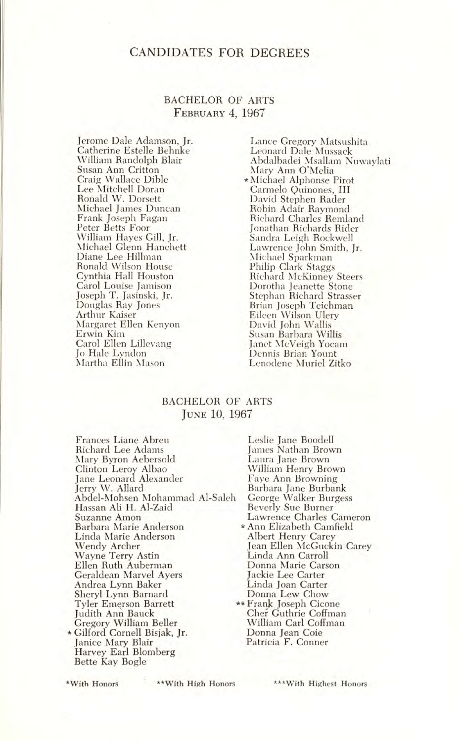#### BACHELOR OF ARTS FEBRUARY 4, 1967

Jerome Dale Adamson, Jr. Catherine Estelle Behnke William Randolph Blair Susan Ann Critton Craig Wallace Dihie Lee Mitchell Doran Ronald W. Dorsett Michael James Duncan Frank Joseph Fagan Peter Betts Foor William Hayes Gill, Jr. Michael Glenn Hanchctt Diane Lee Hillman Ronald Wilson House Cynthia Hall Houston Carol Louise Jamison Joseph T. Jasinski, Jr. Douglas Ray Jones Arthur Kaiser Margaret Ellen Kenyon Erwin Kim Carol Ellen Lillevang Jo Hale Lyndon Martha Ellin Mason

Lance Gregory Matsushita Leonard Dale Mussack Ahdalhadei Msallani Nuwaylati Mary Ann O'Melia \*Michael Alphonse Pirot Carmelo Quinones, III David Stephen Rader Robin Adair Raymond Richard Charles Remland Jonathan Richards Rider Sandra Leigh Rockwell Lawrence John Smith, Jr. Michael Sparkman Philip Clark Staggs Richard McKinney Steers l)orotha Jeanette Stone Stephan Richard Strasser Brian Joseph Teichman Eileen Wilson Ulery David John Wallis Susan Barbara Willis Janet McVeigh Yocam Dennis Brian Yount Lenoclene Muriel Zitko

#### BACHELOR OF ARTS JUNE 10, 1967

Frances Liane Abreu Richard Lee Adams Mary Byron Aebersold Clinton Leroy Albao Jane Leonard Alexander Jerry W. Allard Abdel-Mohsen Mohammad Al-S aleh Hassan Ali H. Al-Zaid Suzanne Amon Barbara Marie Anderson Linda Marie Anderson Wendy Archer Wayne Terry Astin Ellen Ruth Auberman Geraldean Marvel Ayers Andrea Lynn Baker Sheryl Lynn Barnard Tyler Emerson Barrett Judith Ann Bauck Gregory William Beller \* Gilford Cornell Bisjak, Jr. Janice Mary Blair Harvey Earl Blomberg Bette Kay Bogle

Leslie Jane Boodell James Nathan Brown Laura Jane Brown William Henry Brown Faye Ann Browning Barbara Jane Burbank George Walker Burgess Beverly Sue Burner Lawrence Charles Cameron \*Ann Elizabeth Camfield Albert Henry Carey Jean Ellen McGuckin Carey Linda Ann Carroll Donna Marie Carson Jackie Lee Carter Linda Joan Carter Donna Lew Chow \*\* Frank Joseph Cicone Cher Guthrie Coffman William Carl Coffman Donna Jean Coie Patricia F. Conner

\*With Honors \*\*With High Honors \*\*\*With Highest Honors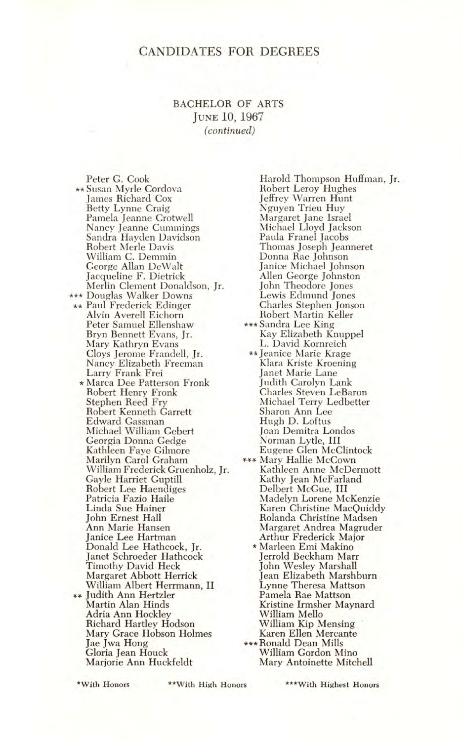#### BACHELOR OF ARTS JUNE 10, 1967 (continued)

Peter G. Cook \*\* Susan Myrle Cordova James Richard Cox Betty Lynne Craig Pamela Jeanne Crotwell Nancy Jeanne Cummings Sandra Hayden Davidson Robert Merle Davis William C. Demmin George Allan DeWalt Jacqueline F. Dietrick Merlin Clement Donaldson, Jr. Douglas Walker Downs \*\* Paul Frederick Edinger Alvin Averell Eichorn Peter Samuel Ellenshaw Bryn Bennett Evans, Jr. Mary Kathryn Evans Cloys Jerome Frandell, Jr. Nancy Elizabeth Freeman Larry Frank Frei \* Marca Dee Patterson Fronk Robert Henry Fronk Stephen Reed Fry Robert Kenneth Garrett Edward Gassman Michael William Gebert Georgia Donna Cedge Kathleen Faye Gilmore Marilyn Carol Graham William Frederick Gruenholz, Jr. Gayle Harriet Guptill Robert Lee Haendiges Patricia Fazio Haile Linda Sue Hainer John Ernest Hall Ann Marie Hansen Janice Lee Hartman Donald Lee Hathcock, Jr. Janet Schroeder Hathcock Timothy David Heck Margaret Abbott Herrick William Albert Herrmann, II Judith Ann Hertzler Martin Alan Hinds Adria Ann Hockley Richard Hartley Hodson Mary Grace Hobson Holmes Jae Jwa Hong Gloria Jean Houck Marjorie Ann Huckfeldt

Harold Thompson Huffman, Jr. Robert Leroy Hughes Jeffrey Warren Hunt Nguyen Trieu Huy Margaret Jane Israel Michael Lloyd Jackson Paula Franel Jacobs Thomas Joseph Jeanneret Donna Rae Johnson Janice Michael Johnson Allen George Johnston John Theodore Jones Lewis Edmund Jones Charles Stephen Jonson Robert Martin Keller \*\*\*Sandra Lee King Kay Elizabeth Knuppel L. David Kornreich \*\* Jeanice Marie Krage Kiara Kriste Kroening Janet Marie Lane Judith Carolyn Lank Charles Steven LeBaron Michael Terry Ledbetter Sharon Ann Lee Hugh D. Loftus Joan Demitra Londos Norman Lytle, III Eugene Glen McClintock \*\* Mary Hallie McCown Kathleen Anne McDermott Kathy Jean McFarland Delbert McGue, III Madelyn Lorene McKenzie Karen Christine MacQuiddy Rolanda Christine Madsen Margaret Andrea Magruder Arthur Frederick Major \* Marleen Emi Makino Jerrold Beckham Marr John Wesley Marshall Jean Elizabeth Marshburn Lynne Theresa Mattson Pamela Rae Mattson Kristine Irmsher Maynard

William Kip Mensing Karen Ellen Mercante \*\*\*Ronald Dean Mills William Gordon Mino Mary Antoinette Mitchell

William Mello

\*With Honors "With High Honors \*\*\*With Highest Honors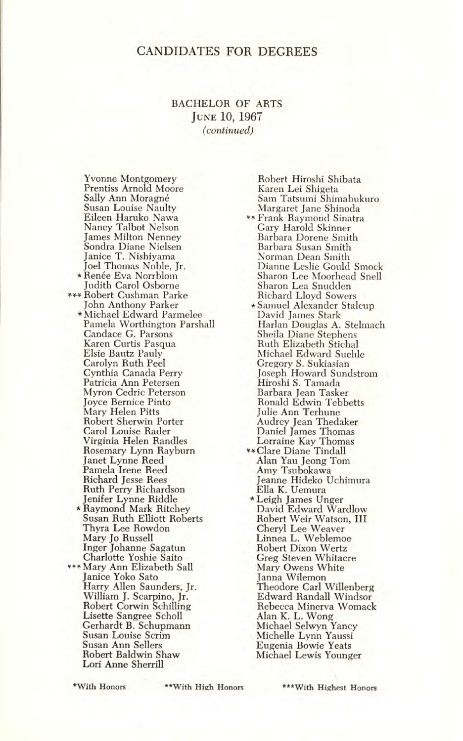BACHELOR OF ARTS JUNE 10, 1967 (continued)

Yvonne Montgomery Prentiss Arnold Moore Sally Ann Moragné Susan Louise Naulty Eileen Haruko Nawa Nancy Talbot Nelson James Milton Nenney Sondra Diane Nielsen Janice T. Nishiyama Joel Thomas Noble, Jr. \* Renée Eva Norrblorn Judith Carol Osborne Robert Cushman Parke John Anthony Parker \*Michael Edward Parmelee Pamela Worthington Parshall Candace C. Parsons Karen Curtis Pasqua Elsie Bautz Pauly Carolyn Ruth Peel Cynthia Canada Perry Patricia Ann Petersen Myron Cedric Peterson Joyce Bernice Pinto Mary Helen Pitts Robert Sherwin Porter Carol Louise Rader Virginia Helen Randles Rosemary Lynn Rayburn Janet Lynne Reed Pamela Irene Reed Richard Jesse Rees Ruth Perry Richardson Jenifer Lynne Riddle \* Raymond Mark Ritchey Susan Ruth Elliott Roberts Thyra Lee Rowdon Mary Jo Russell Inger Johanne Sagatun Charlotte Yoshie Saito \*\*\*Mary Ann Elizabeth Sall Janice Yoko Sato Harry Allen Saunders, Jr. William J. Scarpino, Jr. Robert Corwin Schilling Lisette Sangree Scholl Gerhardt B. Schupmann Susan Louise Scrim

Robert Hiroshi Shibata Karen Lei Shigeta Sam Tatsumi Shimabukuro Margaret Jane Shinoda Frank Raymond Sinatra Gary Harold Skinner Barbara Dorene Smith Barbara Susan Smith Norman Dean Smith Dianne Leslie Gould Smock Sharon Lee Moorhead Snell Sharon Lea Snudden Richard Lloyd Sowers \* Samuel Alexander Stalcup David James Stark Harlan Douglas A. Stelmach Sheila Diane Stephens Ruth Elizabeth Stichal Michael Edward Suehle Gregory S. Sukiasian Joseph Howard Sundstrom Hiroshi S. Tamada Barbara Jean Tasker Ronald Edwin Tebbetts Julie Ann Terhune Audrey Jean Thedaker Daniel James Thomas Lorraine Kay Thomas Clare Diane Tindall Alan Yau Jeong Tom Amy Tsubokawa Jeanne Hideko Uchimura Ella K. Uemura \* Leigh James Unger David Edward Wardlow Robert Weir Watson, III Cheryl Lee Weaver Linnea L. Weblemoe Robert Dixon Wertz Greg Steven Whitacre Mary Owens White Janna Wilemon Theodore Carl Willenberg Edward Randall Windsor Rebecca Minerva Womack Alan K. L. Wong Michael Selwyn Yancy Michelle Lynn Yaussi Eugenia Bowie Yeats Michael Lewis Younger

Susan Ann Sellers Robert Baldwin Shaw Lori Anne Sherrill

\*With Honors \*\*With High Honors \*\*\*With Highest Honors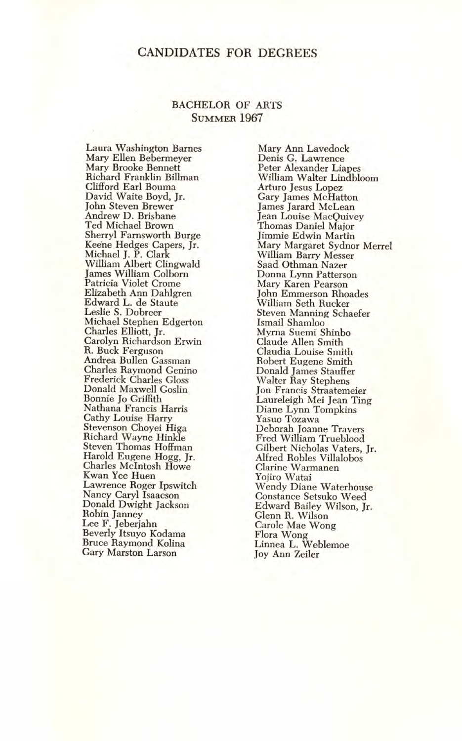#### BACHELOR OF ARTS SUMMER 1967

Laura Washington Barnes Mary Ellen Bebermeyer Mary Brooke Bennett Richard Franklin Billman Clifford Earl Bouma David Waite Boyd, Jr. John Steven Brewer Andrew D. Brisbane Ted Michael Brown Sherryl Farnsworth Burge Keene Hedges Capers, Jr. Michael J. P. Clark William Albert Clingwald James William Colborn Patricia Violet Crome Elizabeth Ann Dahigren Edward L. de Staute Leslie S. Dobreer Michael Stephen Edgerton Charles Elliott, Jr. Carolyn Richardson Erwin R. Buck Ferguson Andrea Bullen Gassman Charles Raymond Genino Frederick Charles Gloss Donald Maxwell Goslin Bonnie Jo Griffith Nathana Francis Harris Cathy Louise Harry Stevenson Choyei Higa Richard Wayne Hinkle Steven Thomas Hoffman Harold Eugene Hogg, Jr. Charles McIntosh Howe Kwan Yee Huen Lawrence Roger Ipswitch Nancy Caryl Isaacson Donald Dwight Jackson Robin Janney Lee F. Jeberjahn Beverly Itsuyo Kodama Bruce Raymond Kolina Gary Marston Larson

Mary Ann Lavedock Denis G. Lawrence Peter Alexander Liapes William Walter Lindbloom Arturo Jesus Lopez Gary James McHatton James Jarard McLean Jean Louise MacQuivey Thomas Daniel Major Jimmie Edwin Martin Mary Margaret Sydnor Merrel William Barry Messer Saad Othman Nazer Donna Lynn Patterson Mary Karen Pearson John Emmerson Rhoades William Seth Rucker Steven Manning Schaefer Ismail Shamloo Myrna Suemi Shinbo Claude Allen Smith Claudia Louise Smith Robert Eugene Smith Donald James Stauffer Walter Ray Stephens Jon Francis Straatemeier Laureleigh Mei Jean Ting Diane Lynn Tompkins Yasuo Tozawa Deborah Joanne Travers Fred William Trueblood Gilbert Nicholas Vaters, Jr. Alfred Robles Villalobos Clarine Warmanen Yojiro Watai Wendy Diane Waterhouse Constance Setsuko Weed Edward Bailey Wilson, Jr. Glenn R. Wilson Carole Mae Wong Flora Wong Linnea L. Weblemoe Joy Ann Zeiler